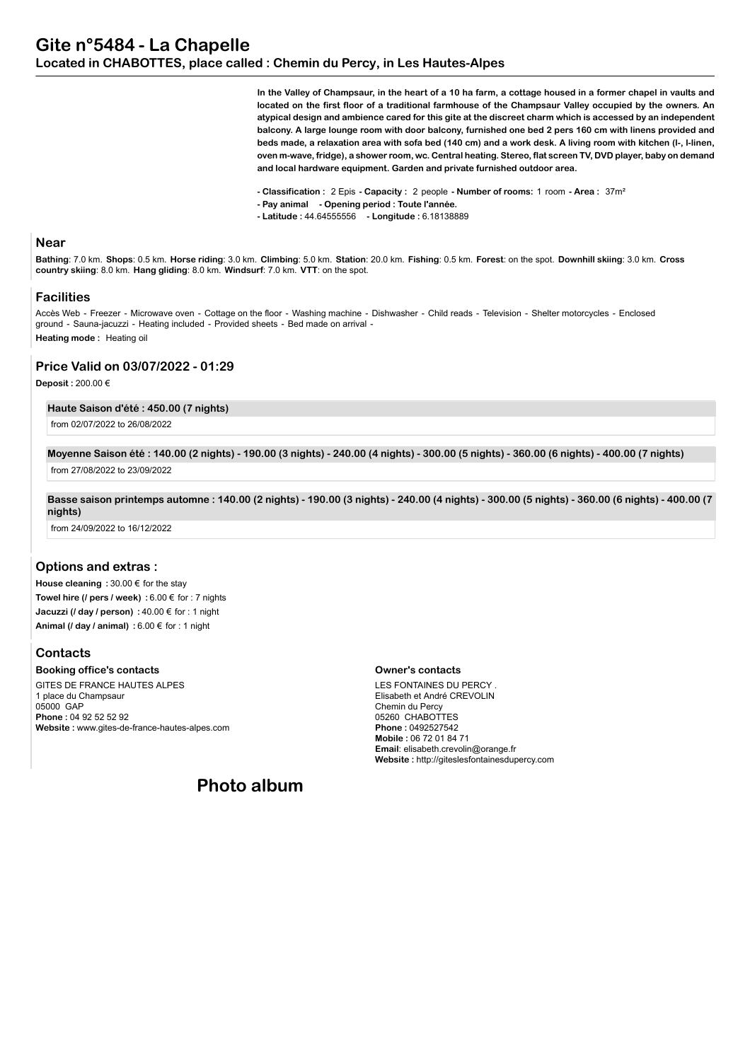**In the Valley of Champsaur, in the heart of a 10 ha farm, a cottage housed in a former chapel in vaults and located on the first floor of a traditional farmhouse of the Champsaur Valley occupied by the owners. An atypical design and ambience cared for this gite at the discreet charm which is accessed by an independent balcony. A large lounge room with door balcony, furnished one bed 2 pers 160 cm with linens provided and beds made, a relaxation area with sofa bed (140 cm) and a work desk. A living room with kitchen (l-, l-linen, oven m-wave, fridge), a shower room, wc. Central heating. Stereo, flat screen TV, DVD player, baby on demand and local hardware equipment. Garden and private furnished outdoor area.**

- **Classification :** 2 Epis  **Capacity :** 2 people  **Number of rooms:** 1 room  **Area :** 37m²
- **Pay animal Opening period : Toute l'année.**
- **Latitude :** 44.64555556  **Longitude :** 6.18138889

#### **Near**

**Bathing**: 7.0 km. **Shops**: 0.5 km. **Horse riding**: 3.0 km. **Climbing**: 5.0 km. **Station**: 20.0 km. **Fishing**: 0.5 km. **Forest**: on the spot. **Downhill skiing**: 3.0 km. **Cross country skiing**: 8.0 km. **Hang gliding**: 8.0 km. **Windsurf**: 7.0 km. **VTT**: on the spot.

#### **Facilities**

Accès Web - Freezer - Microwave oven - Cottage on the floor - Washing machine - Dishwasher - Child reads - Television - Shelter motorcycles - Enclosed ground - Sauna-jacuzzi - Heating included - Provided sheets - Bed made on arrival - **Heating mode :** Heating oil

#### **Price Valid on 03/07/2022 - 01:29**

**Deposit :** 200.00 €

#### **Haute Saison d'été : 450.00 (7 nights)**

from 02/07/2022 to 26/08/2022

**Moyenne Saison été : 140.00 (2 nights) - 190.00 (3 nights) - 240.00 (4 nights) - 300.00 (5 nights) - 360.00 (6 nights) - 400.00 (7 nights)**

from 27/08/2022 to 23/09/2022

**Basse saison printemps automne : 140.00 (2 nights) - 190.00 (3 nights) - 240.00 (4 nights) - 300.00 (5 nights) - 360.00 (6 nights) - 400.00 (7 nights)**

from 24/09/2022 to 16/12/2022

### **Options and extras :**

**House cleaning :** 30.00 € for the stay **Towel hire (/ pers / week) :** 6.00 € for : 7 nights **Jacuzzi (/ day / person) :** 40.00 € for : 1 night **Animal (/ day / animal) :** 6.00 € for : 1 night

#### **Contacts**

**Booking office's contacts**

GITES DE FRANCE HAUTES ALPES 1 place du Champsaur 05000 GAP **Phone :** 04 92 52 52 92 **Website :** www.gites-de-france-hautes-alpes.com

#### **Owner's contacts**

LES FONTAINES DU PERCY . Elisabeth et André CREVOLIN Chemin du Percy 05260 CHABOTTES **Phone :** 0492527542 **Mobile :** 06 72 01 84 71 **Email**: elisabeth.crevolin@orange.fr **Website :** http://giteslesfontainesdupercy.com

# **Photo album**